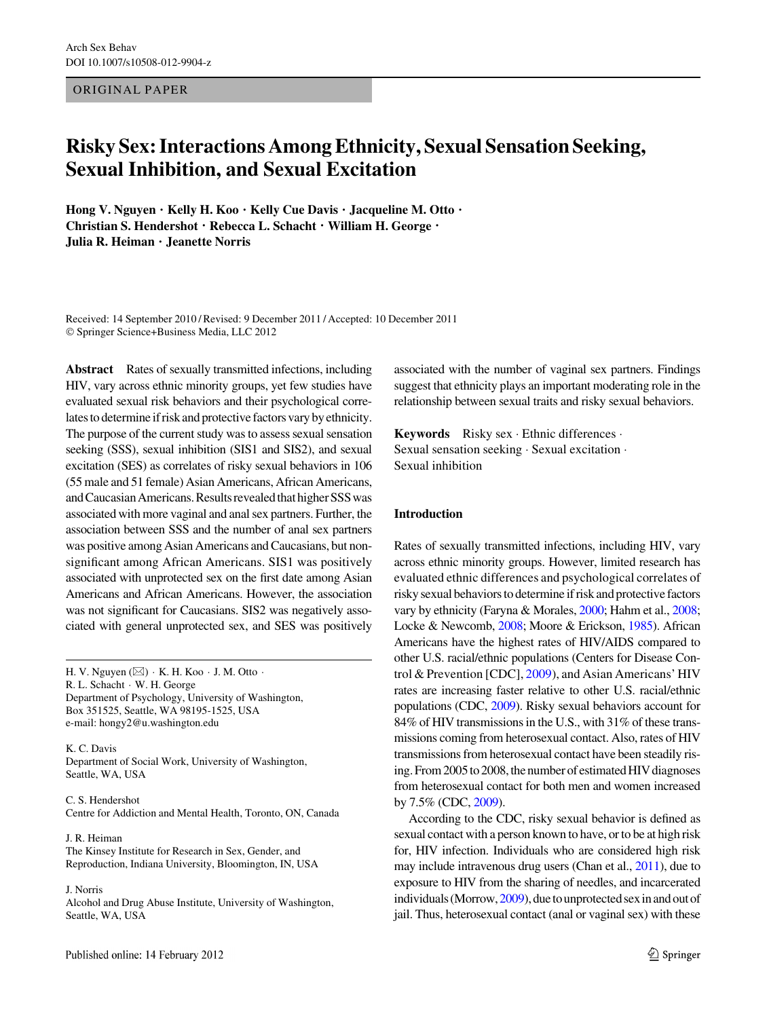ORIGINAL PAPER

# Risky Sex: Interactions Among Ethnicity, Sexual Sensation Seeking, Sexual Inhibition, and Sexual Excitation

Hong V. Nguyen • Kelly H. Koo • Kelly Cue Davis • Jacqueline M. Otto • Christian S. Hendershot • Rebecca L. Schacht • William H. George • Julia R. Heiman • Jeanette Norris

Received: 14 September 2010 / Revised: 9 December 2011 / Accepted: 10 December 2011 © Springer Science+Business Media, LLC 2012

Abstract Rates of sexually transmitted infections, including HIV, vary across ethnic minority groups, yet few studies have evaluated sexual risk behaviors and their psychological correlates to determine if risk and protective factors vary by ethnicity. The purpose of the current study was to assess sexual sensation seeking (SSS), sexual inhibition (SIS1 and SIS2), and sexual excitation (SES) as correlates of risky sexual behaviors in 106 (55 male and 51 female) Asian Americans, African Americans, and Caucasian Americans. Results revealed that higher SSS was associated with more vaginal and anal sex partners. Further, the association between SSS and the number of anal sex partners was positive among Asian Americans and Caucasians, but nonsignificant among African Americans. SIS1 was positively associated with unprotected sex on the first date among Asian Americans and African Americans. However, the association was not significant for Caucasians. SIS2 was negatively associated with general unprotected sex, and SES was positively

H. V. Nguyen ( $\boxtimes$ ) · K. H. Koo · J. M. Otto · R. L. Schacht - W. H. George Department of Psychology, University of Washington, Box 351525, Seattle, WA 98195-1525, USA e-mail: hongy2@u.washington.edu

K. C. Davis Department of Social Work, University of Washington, Seattle, WA, USA

C. S. Hendershot Centre for Addiction and Mental Health, Toronto, ON, Canada

J. R. Heiman The Kinsey Institute for Research in Sex, Gender, and Reproduction, Indiana University, Bloomington, IN, USA

J. Norris

Alcohol and Drug Abuse Institute, University of Washington, Seattle, WA, USA

associated with the number of vaginal sex partners. Findings suggest that ethnicity plays an important moderating role in the relationship between sexual traits and risky sexual behaviors.

Keywords Risky sex · Ethnic differences · Sexual sensation seeking - Sexual excitation - Sexual inhibition

## Introduction

Rates of sexually transmitted infections, including HIV, vary across ethnic minority groups. However, limited research has evaluated ethnic differences and psychological correlates of risky sexual behaviors to determine if risk and protective factors vary by ethnicity (Faryna & Morales, [2000](#page-8-0); Hahm et al., [2008](#page-8-0); Locke & Newcomb, [2008](#page-8-0); Moore & Erickson, [1985](#page-8-0)). African Americans have the highest rates of HIV/AIDS compared to other U.S. racial/ethnic populations (Centers for Disease Control & Prevention [CDC], [2009\)](#page-7-0), and Asian Americans' HIV rates are increasing faster relative to other U.S. racial/ethnic populations (CDC, [2009\)](#page-7-0). Risky sexual behaviors account for 84% of HIV transmissions in the U.S., with 31% of these transmissions coming from heterosexual contact. Also, rates of HIV transmissions from heterosexual contact have been steadily rising. From 2005 to 2008, the number of estimated HIV diagnoses from heterosexual contact for both men and women increased by 7.5% (CDC, [2009](#page-7-0)).

According to the CDC, risky sexual behavior is defined as sexual contact with a person known to have, or to be at high risk for, HIV infection. Individuals who are considered high risk may include intravenous drug users (Chan et al., [2011\)](#page-7-0), due to exposure to HIV from the sharing of needles, and incarcerated individuals (Morrow,  $2009$ ), due to unprotected sex in and out of jail. Thus, heterosexual contact (anal or vaginal sex) with these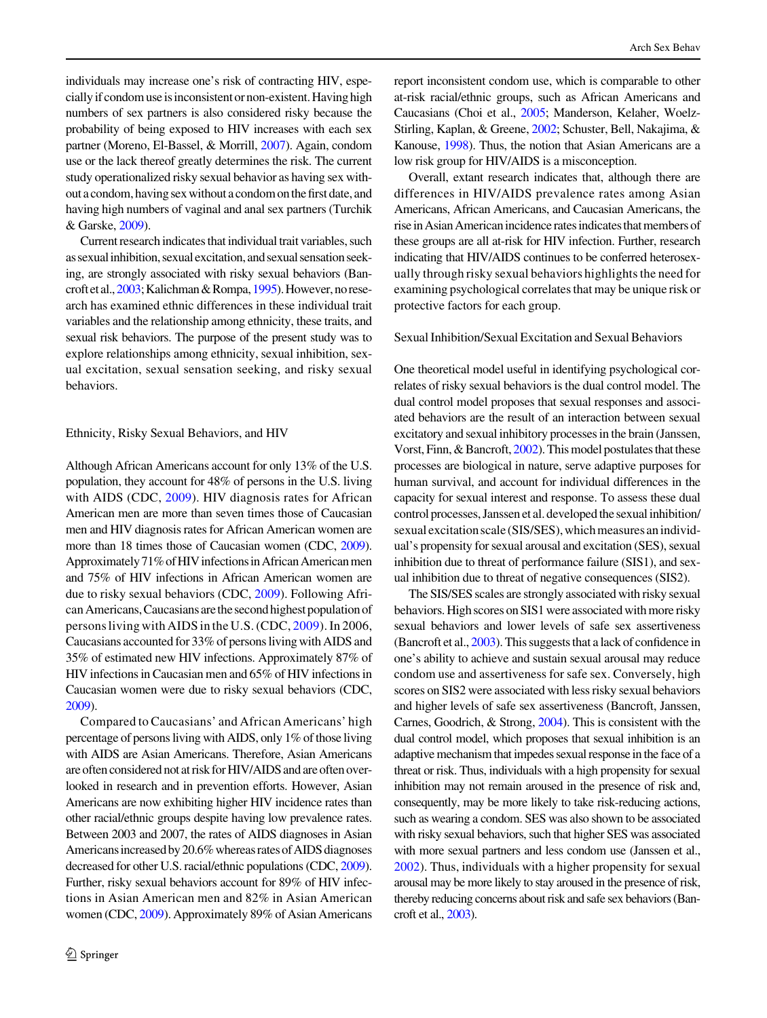individuals may increase one's risk of contracting HIV, especially if condom use is inconsistent or non-existent. Having high numbers of sex partners is also considered risky because the probability of being exposed to HIV increases with each sex partner (Moreno, El-Bassel, & Morrill, [2007\)](#page-8-0). Again, condom use or the lack thereof greatly determines the risk. The current study operationalized risky sexual behavior as having sex without a condom, having sex without a condom on the first date, and having high numbers of vaginal and anal sex partners (Turchik & Garske, [2009\)](#page-8-0).

Current research indicates that individual trait variables, such as sexual inhibition, sexual excitation, and sexual sensation seeking, are strongly associated with risky sexual behaviors (Bancroftetal.,[2003](#page-7-0);Kalichman&Rompa,[1995](#page-8-0)).However,noresearch has examined ethnic differences in these individual trait variables and the relationship among ethnicity, these traits, and sexual risk behaviors. The purpose of the present study was to explore relationships among ethnicity, sexual inhibition, sexual excitation, sexual sensation seeking, and risky sexual behaviors.

## Ethnicity, Risky Sexual Behaviors, and HIV

Although African Americans account for only 13% of the U.S. population, they account for 48% of persons in the U.S. living with AIDS (CDC, [2009\)](#page-7-0). HIV diagnosis rates for African American men are more than seven times those of Caucasian men and HIV diagnosis rates for African American women are more than 18 times those of Caucasian women (CDC, [2009\)](#page-7-0). Approximately 71% of HIV infections in African American men and 75% of HIV infections in African American women are due to risky sexual behaviors (CDC, [2009\)](#page-7-0). Following African Americans, Caucasians are the second highest population of persons living with AIDS in the U.S. (CDC, [2009](#page-7-0)). In 2006, Caucasians accounted for 33% of persons living with AIDS and 35% of estimated new HIV infections. Approximately 87% of HIV infections in Caucasian men and 65% of HIV infections in Caucasian women were due to risky sexual behaviors (CDC, [2009](#page-7-0)).

Compared to Caucasians' and African Americans' high percentage of persons living with AIDS, only 1% of those living with AIDS are Asian Americans. Therefore, Asian Americans are often considered not at risk for HIV/AIDS and are often overlooked in research and in prevention efforts. However, Asian Americans are now exhibiting higher HIV incidence rates than other racial/ethnic groups despite having low prevalence rates. Between 2003 and 2007, the rates of AIDS diagnoses in Asian Americans increased by 20.6% whereas rates of AIDS diagnoses decreased for other U.S. racial/ethnic populations (CDC, [2009\)](#page-7-0). Further, risky sexual behaviors account for 89% of HIV infections in Asian American men and 82% in Asian American women (CDC, [2009](#page-7-0)). Approximately 89% of Asian Americans report inconsistent condom use, which is comparable to other at-risk racial/ethnic groups, such as African Americans and Caucasians (Choi et al., [2005;](#page-7-0) Manderson, Kelaher, Woelz-Stirling, Kaplan, & Greene, [2002](#page-8-0); Schuster, Bell, Nakajima, & Kanouse, [1998](#page-8-0)). Thus, the notion that Asian Americans are a low risk group for HIV/AIDS is a misconception.

Overall, extant research indicates that, although there are differences in HIV/AIDS prevalence rates among Asian Americans, African Americans, and Caucasian Americans, the rise in Asian American incidence rates indicates that members of these groups are all at-risk for HIV infection. Further, research indicating that HIV/AIDS continues to be conferred heterosexually through risky sexual behaviors highlights the need for examining psychological correlates that may be unique risk or protective factors for each group.

# Sexual Inhibition/Sexual Excitation and Sexual Behaviors

One theoretical model useful in identifying psychological correlates of risky sexual behaviors is the dual control model. The dual control model proposes that sexual responses and associated behaviors are the result of an interaction between sexual excitatory and sexual inhibitory processes in the brain (Janssen, Vorst, Finn, & Bancroft, [2002\)](#page-8-0). This model postulates that these processes are biological in nature, serve adaptive purposes for human survival, and account for individual differences in the capacity for sexual interest and response. To assess these dual control processes, Janssen et al. developed the sexual inhibition/ sexual excitation scale (SIS/SES), which measures an individual's propensity for sexual arousal and excitation (SES), sexual inhibition due to threat of performance failure (SIS1), and sexual inhibition due to threat of negative consequences (SIS2).

The SIS/SES scales are strongly associated with risky sexual behaviors. High scores on SIS1 were associated with more risky sexual behaviors and lower levels of safe sex assertiveness (Bancroft et al., [2003](#page-7-0)). This suggests that a lack of confidence in one's ability to achieve and sustain sexual arousal may reduce condom use and assertiveness for safe sex. Conversely, high scores on SIS2 were associated with less risky sexual behaviors and higher levels of safe sex assertiveness (Bancroft, Janssen, Carnes, Goodrich, & Strong, [2004](#page-7-0)). This is consistent with the dual control model, which proposes that sexual inhibition is an adaptive mechanism that impedes sexual response in the face of a threat or risk. Thus, individuals with a high propensity for sexual inhibition may not remain aroused in the presence of risk and, consequently, may be more likely to take risk-reducing actions, such as wearing a condom. SES was also shown to be associated with risky sexual behaviors, such that higher SES was associated with more sexual partners and less condom use (Janssen et al., [2002](#page-8-0)). Thus, individuals with a higher propensity for sexual arousal may be more likely to stay aroused in the presence of risk, thereby reducing concerns about risk and safe sex behaviors (Bancroft et al., [2003](#page-7-0)).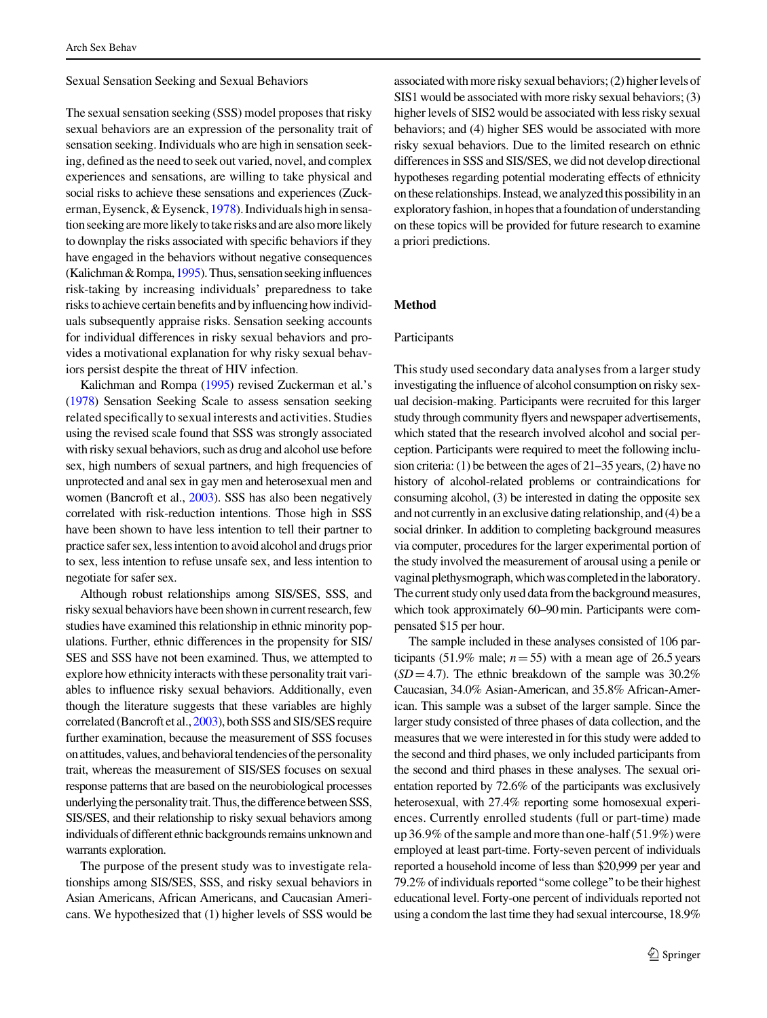Sexual Sensation Seeking and Sexual Behaviors

The sexual sensation seeking (SSS) model proposes that risky sexual behaviors are an expression of the personality trait of sensation seeking. Individuals who are high in sensation seeking, defined as the need to seek out varied, novel, and complex experiences and sensations, are willing to take physical and social risks to achieve these sensations and experiences (Zuckerman, Eysenck,  $&$  Eysenck, [1978](#page-8-0)). Individuals high in sensationseeking are morelikely to take risks and are also more likely to downplay the risks associated with specific behaviors if they have engaged in the behaviors without negative consequences (Kalichman & Rompa,  $1995$ ). Thus, sensation seeking influences risk-taking by increasing individuals' preparedness to take risks to achieve certain benefits and by influencing how individuals subsequently appraise risks. Sensation seeking accounts for individual differences in risky sexual behaviors and provides a motivational explanation for why risky sexual behaviors persist despite the threat of HIV infection.

Kalichman and Rompa [\(1995](#page-8-0)) revised Zuckerman et al.'s [\(1978](#page-8-0)) Sensation Seeking Scale to assess sensation seeking related specifically to sexual interests and activities. Studies using the revised scale found that SSS was strongly associated with risky sexual behaviors, such as drug and alcohol use before sex, high numbers of sexual partners, and high frequencies of unprotected and anal sex in gay men and heterosexual men and women (Bancroft et al., [2003\)](#page-7-0). SSS has also been negatively correlated with risk-reduction intentions. Those high in SSS have been shown to have less intention to tell their partner to practice safer sex, less intention to avoid alcohol and drugs prior to sex, less intention to refuse unsafe sex, and less intention to negotiate for safer sex.

Although robust relationships among SIS/SES, SSS, and risky sexual behaviors have been shown in current research, few studies have examined this relationship in ethnic minority populations. Further, ethnic differences in the propensity for SIS/ SES and SSS have not been examined. Thus, we attempted to explore how ethnicity interacts with these personality trait variables to influence risky sexual behaviors. Additionally, even though the literature suggests that these variables are highly correlated (Bancroft et al., [2003](#page-7-0)), both SSS and SIS/SES require further examination, because the measurement of SSS focuses on attitudes, values, and behavioral tendencies of the personality trait, whereas the measurement of SIS/SES focuses on sexual response patterns that are based on the neurobiological processes underlying the personality trait. Thus, the difference between SSS, SIS/SES, and their relationship to risky sexual behaviors among individuals of different ethnic backgrounds remains unknown and warrants exploration.

The purpose of the present study was to investigate relationships among SIS/SES, SSS, and risky sexual behaviors in Asian Americans, African Americans, and Caucasian Americans. We hypothesized that (1) higher levels of SSS would be associated with more risky sexual behaviors; (2) higher levels of SIS1 would be associated with more risky sexual behaviors; (3) higher levels of SIS2 would be associated with less risky sexual behaviors; and (4) higher SES would be associated with more risky sexual behaviors. Due to the limited research on ethnic differences in SSS and SIS/SES, we did not develop directional hypotheses regarding potential moderating effects of ethnicity on these relationships. Instead, we analyzed this possibility in an exploratory fashion, in hopes that a foundation of understanding on these topics will be provided for future research to examine a priori predictions.

# Method

#### Participants

This study used secondary data analyses from a larger study investigating the influence of alcohol consumption on risky sexual decision-making. Participants were recruited for this larger study through community flyers and newspaper advertisements, which stated that the research involved alcohol and social perception. Participants were required to meet the following inclusion criteria: (1) be between the ages of 21–35 years, (2) have no history of alcohol-related problems or contraindications for consuming alcohol, (3) be interested in dating the opposite sex and not currently in an exclusive dating relationship, and (4) be a social drinker. In addition to completing background measures via computer, procedures for the larger experimental portion of the study involved the measurement of arousal using a penile or vaginal plethysmograph, which was completed in the laboratory. The current study only used data from the background measures, which took approximately 60–90 min. Participants were compensated \$15 per hour.

The sample included in these analyses consisted of 106 participants (51.9% male;  $n=55$ ) with a mean age of 26.5 years  $(SD=4.7)$ . The ethnic breakdown of the sample was 30.2% Caucasian, 34.0% Asian-American, and 35.8% African-American. This sample was a subset of the larger sample. Since the larger study consisted of three phases of data collection, and the measures that we were interested in for this study were added to the second and third phases, we only included participants from the second and third phases in these analyses. The sexual orientation reported by 72.6% of the participants was exclusively heterosexual, with 27.4% reporting some homosexual experiences. Currently enrolled students (full or part-time) made up 36.9% of the sample and more than one-half (51.9%) were employed at least part-time. Forty-seven percent of individuals reported a household income of less than \$20,999 per year and 79.2% of individuals reported''some college''to be their highest educational level. Forty-one percent of individuals reported not using a condom the last time they had sexual intercourse, 18.9%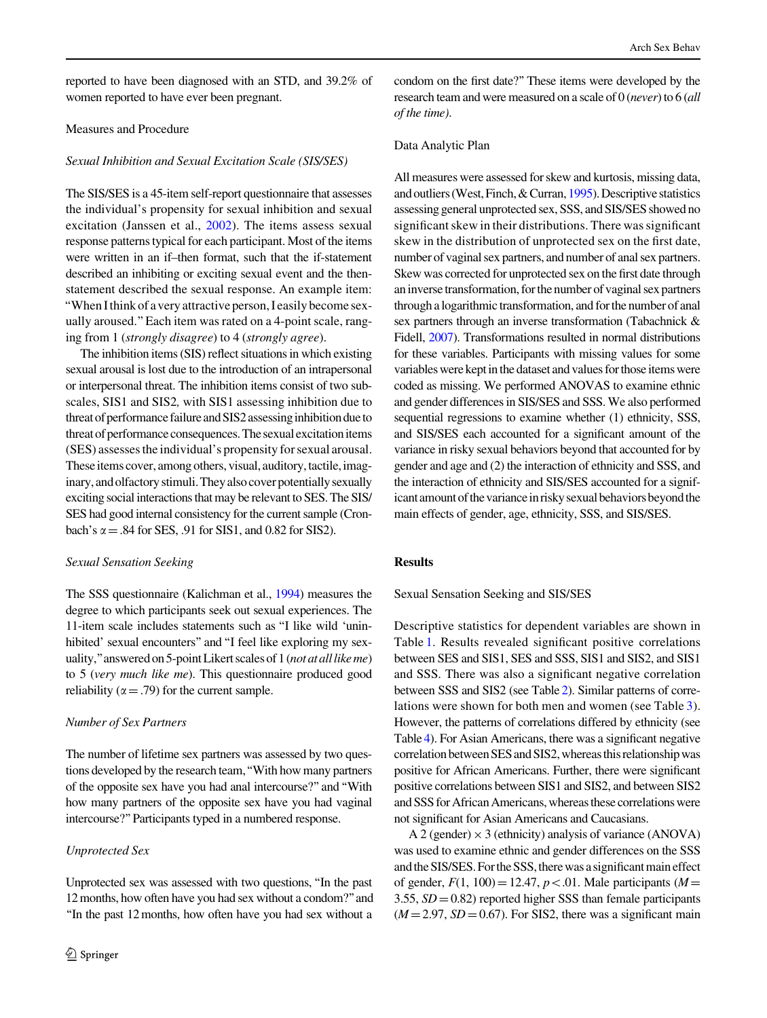reported to have been diagnosed with an STD, and 39.2% of women reported to have ever been pregnant.

## Measures and Procedure

## Sexual Inhibition and Sexual Excitation Scale (SIS/SES)

The SIS/SES is a 45-item self-report questionnaire that assesses the individual's propensity for sexual inhibition and sexual excitation (Janssen et al., [2002](#page-8-0)). The items assess sexual response patterns typical for each participant. Most of the items were written in an if–then format, such that the if-statement described an inhibiting or exciting sexual event and the thenstatement described the sexual response. An example item: ''When I think of a very attractive person, I easily become sexually aroused.''Each item was rated on a 4-point scale, ranging from 1 (strongly disagree) to 4 (strongly agree).

The inhibition items (SIS) reflect situations in which existing sexual arousal is lost due to the introduction of an intrapersonal or interpersonal threat. The inhibition items consist of two subscales, SIS1 and SIS2, with SIS1 assessing inhibition due to threat of performance failure and SIS2 assessing inhibition due to threat of performance consequences. The sexual excitation items (SES) assesses the individual's propensity for sexual arousal. These items cover, among others, visual, auditory, tactile, imaginary, and olfactory stimuli. They also cover potentially sexually exciting social interactions that may be relevant to SES. The SIS/ SES had good internal consistency for the current sample (Cronbach's  $\alpha$  = .84 for SES, .91 for SIS1, and 0.82 for SIS2).

#### Sexual Sensation Seeking

The SSS questionnaire (Kalichman et al., [1994\)](#page-8-0) measures the degree to which participants seek out sexual experiences. The 11-item scale includes statements such as ''I like wild 'uninhibited' sexual encounters" and "I feel like exploring my sexuality," answered on 5-point Likert scales of 1 (not at all like me) to 5 (very much like me). This questionnaire produced good reliability ( $\alpha$  = .79) for the current sample.

## Number of Sex Partners

The number of lifetime sex partners was assessed by two questions developed by the research team, "With how many partners of the opposite sex have you had anal intercourse?''and''With how many partners of the opposite sex have you had vaginal intercourse?''Participants typed in a numbered response.

## Unprotected Sex

Unprotected sex was assessed with two questions, ''In the past 12 months, how often have you had sex without a condom?''and ''In the past 12 months, how often have you had sex without a

condom on the first date?'' These items were developed by the research team and were measured on a scale of 0 (never) to 6 (all of the time).

## Data Analytic Plan

All measures were assessed for skew and kurtosis, missing data, and outliers (West, Finch, & Curran, [1995](#page-8-0)). Descriptive statistics assessing general unprotected sex, SSS, and SIS/SES showed no significant skew in their distributions. There was significant skew in the distribution of unprotected sex on the first date, number of vaginal sex partners, and number of anal sex partners. Skew was corrected for unprotected sex on the first date through an inverse transformation, for the number of vaginal sex partners through a logarithmic transformation, and for the number of anal sex partners through an inverse transformation (Tabachnick & Fidell, [2007](#page-8-0)). Transformations resulted in normal distributions for these variables. Participants with missing values for some variables were kept in the dataset and values for those items were coded as missing. We performed ANOVAS to examine ethnic and gender differences in SIS/SES and SSS. We also performed sequential regressions to examine whether (1) ethnicity, SSS, and SIS/SES each accounted for a significant amount of the variance in risky sexual behaviors beyond that accounted for by gender and age and (2) the interaction of ethnicity and SSS, and the interaction of ethnicity and SIS/SES accounted for a significant amount of the variance in risky sexual behaviors beyond the main effects of gender, age, ethnicity, SSS, and SIS/SES.

# Results

Sexual Sensation Seeking and SIS/SES

Descriptive statistics for dependent variables are shown in Table [1.](#page-4-0) Results revealed significant positive correlations between SES and SIS1, SES and SSS, SIS1 and SIS2, and SIS1 and SSS. There was also a significant negative correlation between SSS and SIS2 (see Table [2](#page-4-0)). Similar patterns of correlations were shown for both men and women (see Table [3](#page-4-0)). However, the patterns of correlations differed by ethnicity (see Table [4](#page-5-0)). For Asian Americans, there was a significant negative correlation between SES and SIS2, whereas this relationship was positive for African Americans. Further, there were significant positive correlations between SIS1 and SIS2, and between SIS2 and SSS for African Americans, whereas these correlations were not significant for Asian Americans and Caucasians.

A 2 (gender)  $\times$  3 (ethnicity) analysis of variance (ANOVA) was used to examine ethnic and gender differences on the SSS and the SIS/SES. For the SSS, there was a significant main effect of gender,  $F(1, 100) = 12.47$ ,  $p < .01$ . Male participants (M = 3.55,  $SD = 0.82$ ) reported higher SSS than female participants  $(M = 2.97, SD = 0.67)$ . For SIS2, there was a significant main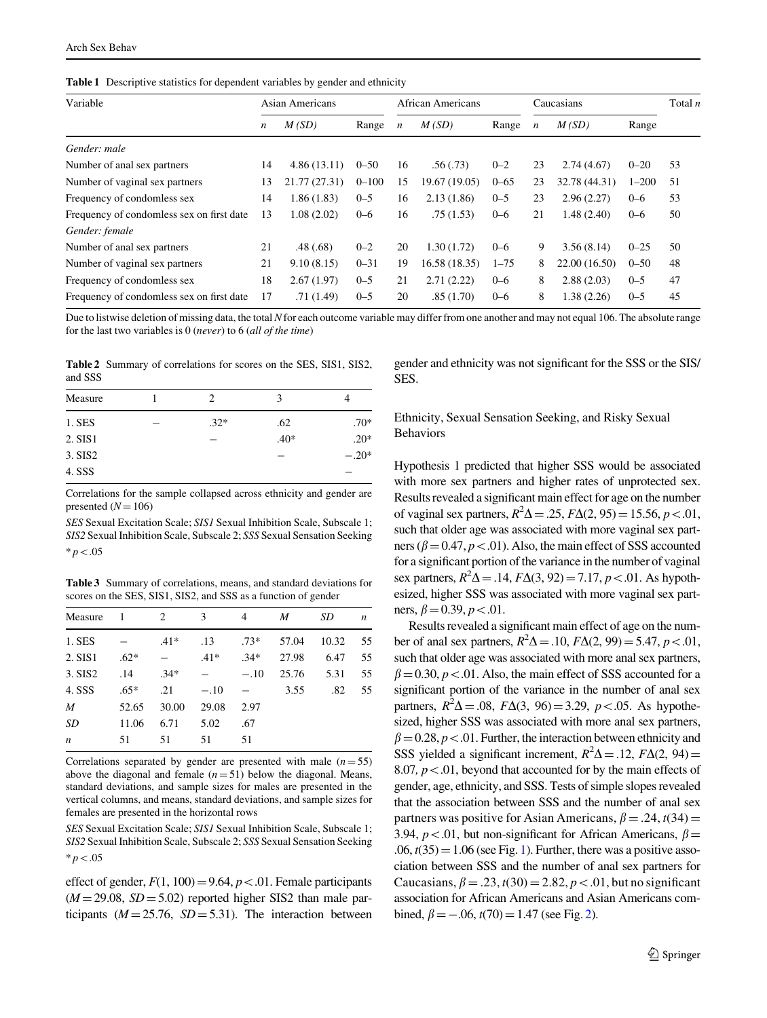<span id="page-4-0"></span>Table 1 Descriptive statistics for dependent variables by gender and ethnicity

| Variable                                  |    | Asian Americans |           |                           | <b>African Americans</b> |          |                  | Caucasians    |           |    |
|-------------------------------------------|----|-----------------|-----------|---------------------------|--------------------------|----------|------------------|---------------|-----------|----|
|                                           |    | M(SD)           | Range     | M(SD)<br>$\boldsymbol{n}$ |                          | Range    | $\boldsymbol{n}$ | M(SD)         | Range     |    |
| Gender: male                              |    |                 |           |                           |                          |          |                  |               |           |    |
| Number of anal sex partners               | 14 | 4.86(13.11)     | $0 - 50$  | 16                        | .56(.73)                 | $0 - 2$  | 23               | 2.74(4.67)    | $0 - 20$  | 53 |
| Number of vaginal sex partners            | 13 | 21.77 (27.31)   | $0 - 100$ | 15                        | 19.67 (19.05)            | $0 - 65$ | 23               | 32.78 (44.31) | $1 - 200$ | 51 |
| Frequency of condomless sex               | 14 | 1.86(1.83)      | $0 - 5$   | 16                        | 2.13(1.86)               | $0 - 5$  | 23               | 2.96(2.27)    | $0 - 6$   | 53 |
| Frequency of condomless sex on first date | 13 | 1.08(2.02)      | $0 - 6$   | 16                        | .75(1.53)                | $0 - 6$  | 21               | 1.48(2.40)    | $0 - 6$   | 50 |
| Gender: female                            |    |                 |           |                           |                          |          |                  |               |           |    |
| Number of anal sex partners               | 21 | .48(.68)        | $0 - 2$   | 20                        | 1.30(1.72)               | $0 - 6$  | 9                | 3.56(8.14)    | $0 - 25$  | 50 |
| Number of vaginal sex partners            | 21 | 9.10(8.15)      | $0 - 31$  | 19                        | 16.58 (18.35)            | $1 - 75$ | 8                | 22.00 (16.50) | $0 - 50$  | 48 |
| Frequency of condomless sex               | 18 | 2.67(1.97)      | $0 - 5$   | 21                        | 2.71(2.22)               | $0 - 6$  | 8                | 2.88(2.03)    | $0 - 5$   | 47 |
| Frequency of condomless sex on first date | 17 | .71(1.49)       | $0 - 5$   | 20                        | .85(1.70)                | $0 - 6$  | 8                | 1.38(2.26)    | $0 - 5$   | 45 |

Due to listwise deletion of missing data, the total N for each outcome variable may differ from one another and may not equal 106. The absolute range for the last two variables is  $0$  (never) to  $6$  (all of the time)

Table 2 Summary of correlations for scores on the SES, SIS1, SIS2, and SSS

| Measure | $\mathcal{L}$ | 3      |         |
|---------|---------------|--------|---------|
| 1. SES  | $.32*$        | .62    | $.70*$  |
| 2. SIS1 |               | $.40*$ | $.20*$  |
| 3. SIS2 |               |        | $-.20*$ |
| 4. SSS  |               |        |         |

Correlations for the sample collapsed across ethnicity and gender are presented  $(N = 106)$ 

SES Sexual Excitation Scale; SIS1 Sexual Inhibition Scale, Subscale 1; SIS2 Sexual Inhibition Scale, Subscale 2; SSS Sexual Sensation Seeking  $* p < .05$ 

Table 3 Summary of correlations, means, and standard deviations for scores on the SES, SIS1, SIS2, and SSS as a function of gender

| Measure          | $\overline{1}$ | 2      | 3      | 4      | M     | SD    | n    |
|------------------|----------------|--------|--------|--------|-------|-------|------|
| 1. SES           |                | $.41*$ | .13    | $.73*$ | 57.04 | 10.32 | - 55 |
| 2. SIS1          | $.62*$         |        | $.41*$ | $.34*$ | 27.98 | 6.47  | 55   |
| 3. SIS2          | .14            | $.34*$ |        | $-.10$ | 25.76 | 5.31  | 55   |
| 4. SSS           | $.65*$         | .21    | $-.10$ |        | 3.55  | .82   | 55   |
| $\boldsymbol{M}$ | 52.65          | 30.00  | 29.08  | 2.97   |       |       |      |
| SD               | 11.06          | 6.71   | 5.02   | .67    |       |       |      |
| $\boldsymbol{n}$ | 51             | 51     | 51     | 51     |       |       |      |

Correlations separated by gender are presented with male  $(n= 55)$ above the diagonal and female  $(n = 51)$  below the diagonal. Means, standard deviations, and sample sizes for males are presented in the vertical columns, and means, standard deviations, and sample sizes for females are presented in the horizontal rows

SES Sexual Excitation Scale; SIS1 Sexual Inhibition Scale, Subscale 1; SIS2 Sexual Inhibition Scale, Subscale 2; SSS Sexual Sensation Seeking  $* n < 0.05$ 

effect of gender,  $F(1, 100) = 9.64$ ,  $p < 0.01$ . Female participants  $(M = 29.08, SD = 5.02)$  reported higher SIS2 than male participants ( $M = 25.76$ ,  $SD = 5.31$ ). The interaction between gender and ethnicity was not significant for the SSS or the SIS/ SES.

# Ethnicity, Sexual Sensation Seeking, and Risky Sexual Behaviors

Hypothesis 1 predicted that higher SSS would be associated with more sex partners and higher rates of unprotected sex. Results revealed a significant main effect for age on the number of vaginal sex partners,  $R^2\Delta = .25$ ,  $F\Delta(2, 95) = 15.56$ ,  $p < .01$ , such that older age was associated with more vaginal sex partners ( $\beta$  = 0.47,  $p$  < .01). Also, the main effect of SSS accounted for a significant portion of the variance in the number of vaginal sex partners,  $R^2\Delta = .14$ ,  $F\Delta(3, 92) = 7.17$ ,  $p < .01$ . As hypothesized, higher SSS was associated with more vaginal sex partners,  $\beta$  = 0.39,  $p$  < .01.

Results revealed a significant main effect of age on the number of anal sex partners,  $R^2\Delta = .10$ ,  $F\Delta(2, 99) = 5.47$ ,  $p < .01$ , such that older age was associated with more anal sex partners,  $\beta$  = 0.30, *p* < 0.01. Also, the main effect of SSS accounted for a significant portion of the variance in the number of anal sex partners,  $R^2\Delta = .08$ ,  $F\Delta(3, 96) = 3.29$ ,  $p < .05$ . As hypothesized, higher SSS was associated with more anal sex partners,  $\beta$  = 0.28, *p* < .01. Further, the interaction between ethnicity and SSS yielded a significant increment,  $R^2\Delta = .12$ ,  $F\Delta(2, 94) =$ 8.07,  $p < 0.01$ , beyond that accounted for by the main effects of gender, age, ethnicity, and SSS. Tests of simple slopes revealed that the association between SSS and the number of anal sex partners was positive for Asian Americans,  $\beta = .24$ ,  $t(34) =$ 3.94,  $p < 0.01$ , but non-significant for African Americans,  $\beta =$  $.06$ ,  $t(35)=1.06$  (see Fig. [1\)](#page-5-0). Further, there was a positive association between SSS and the number of anal sex partners for Caucasians,  $\beta = .23$ ,  $t(30) = 2.82$ ,  $p < .01$ , but no significant association for African Americans and Asian Americans combined,  $\beta = -.06$ ,  $t(70) = 1.47$  (see Fig. [2](#page-5-0)).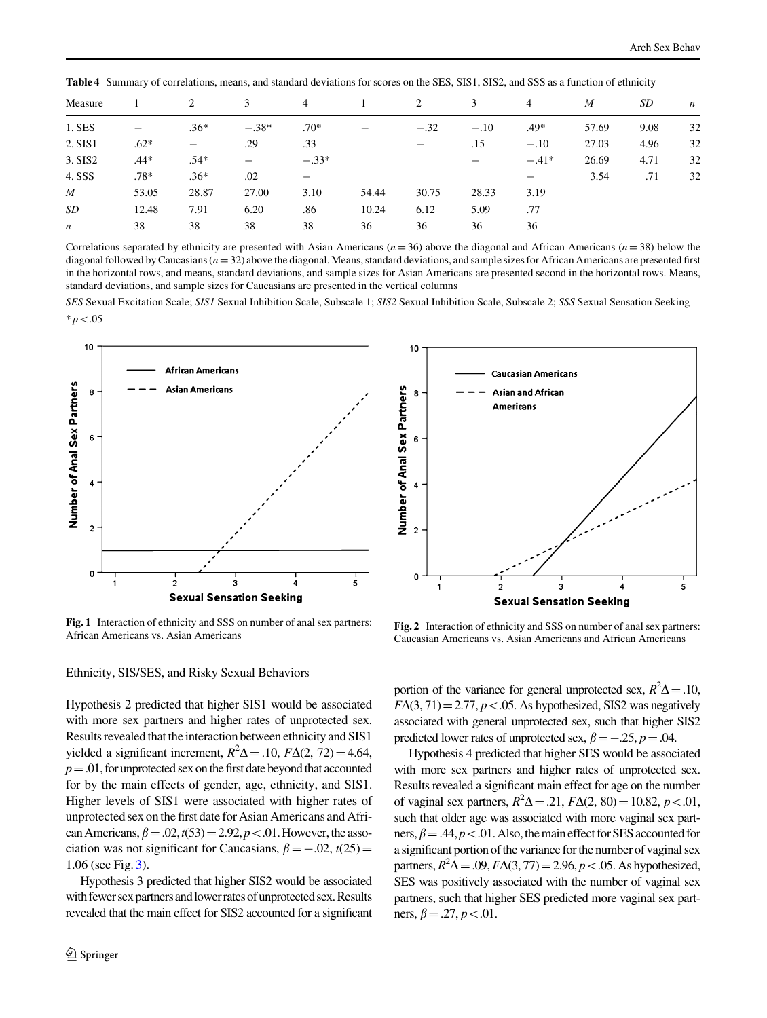| Measure          |        | 2                        | 3       | 4       |       | 2      | 3                        | $\overline{4}$  | $\boldsymbol{M}$ | SD   | $\boldsymbol{n}$ |
|------------------|--------|--------------------------|---------|---------|-------|--------|--------------------------|-----------------|------------------|------|------------------|
| $1.$ SES         |        | $.36*$                   | $-.38*$ | $.70*$  |       | $-.32$ | $-.10$                   | $.49*$          | 57.69            | 9.08 | 32               |
| 2. SIS1          | $.62*$ | $\overline{\phantom{0}}$ | .29     | .33     |       |        | .15                      | $-.10$          | 27.03            | 4.96 | 32               |
| 3. SIS2          | $.44*$ | $.54*$                   |         | $-.33*$ |       |        | $\overline{\phantom{0}}$ | $-.41*$         | 26.69            | 4.71 | 32               |
| 4. SSS           | $.78*$ | $.36*$                   | .02     | —       |       |        |                          | $\qquad \qquad$ | 3.54             | .71  | 32               |
| M                | 53.05  | 28.87                    | 27.00   | 3.10    | 54.44 | 30.75  | 28.33                    | 3.19            |                  |      |                  |
| SD               | 12.48  | 7.91                     | 6.20    | .86     | 10.24 | 6.12   | 5.09                     | .77             |                  |      |                  |
| $\boldsymbol{n}$ | 38     | 38                       | 38      | 38      | 36    | 36     | 36                       | 36              |                  |      |                  |

<span id="page-5-0"></span>Table 4 Summary of correlations, means, and standard deviations for scores on the SES, SIS1, SIS2, and SSS as a function of ethnicity

Correlations separated by ethnicity are presented with Asian Americans ( $n=36$ ) above the diagonal and African Americans ( $n=38$ ) below the diagonal followed by Caucasians ( $n=32$ ) above the diagonal. Means, standard deviations, and sample sizes for African Americans are presented first in the horizontal rows, and means, standard deviations, and sample sizes for Asian Americans are presented second in the horizontal rows. Means, standard deviations, and sample sizes for Caucasians are presented in the vertical columns

SES Sexual Excitation Scale; SIS1 Sexual Inhibition Scale, Subscale 1; SIS2 Sexual Inhibition Scale, Subscale 2; SSS Sexual Sensation Seeking  $* p < .05$ 



Fig. 1 Interaction of ethnicity and SSS on number of anal sex partners: Fig. 2 Interaction of ethnicity and SSS on number of anal sex partners:<br>African Americans Fig. 2 Interaction of ethnicity and SSS on number of anal sex partners:<br>Caucasian Americans vs. Asian Americans



Caucasian Americans vs. Asian Americans and African Americans

### Ethnicity, SIS/SES, and Risky Sexual Behaviors

Hypothesis 2 predicted that higher SIS1 would be associated with more sex partners and higher rates of unprotected sex. Results revealed that the interaction between ethnicity and SIS1 yielded a significant increment,  $R^2\Delta = .10$ ,  $F\Delta(2, 72) = 4.64$ ,  $p = .01$ , for unprotected sex on the first date beyond that accounted for by the main effects of gender, age, ethnicity, and SIS1. Higher levels of SIS1 were associated with higher rates of unprotected sex on the first date for Asian Americans and African Americans,  $\beta = .02$ ,  $t(53) = 2.92$ ,  $p < .01$ . However, the association was not significant for Caucasians,  $\beta = -.02$ ,  $t(25)$ 1.06 (see Fig. [3](#page-6-0)).

Hypothesis 3 predicted that higher SIS2 would be associated with fewer sex partners and lower rates of unprotected sex. Results revealed that the main effect for SIS2 accounted for a significant

portion of the variance for general unprotected sex,  $R^2\Delta = .10$ ,  $F\Delta(3, 71) = 2.77, p < .05$ . As hypothesized, SIS2 was negatively associated with general unprotected sex, such that higher SIS2 predicted lower rates of unprotected sex,  $\beta = -.25$ ,  $p = .04$ .

Hypothesis 4 predicted that higher SES would be associated with more sex partners and higher rates of unprotected sex. Results revealed a significant main effect for age on the number of vaginal sex partners,  $R^2\Delta = .21$ ,  $F\Delta(2, 80) = 10.82$ ,  $p < .01$ , such that older age was associated with more vaginal sex partners,  $\beta = .44, p < .01$ . Also, the main effect for SES accounted for a significant portion of the variance for the number of vaginal sex partners,  $R^2\Delta = .09$ ,  $F\Delta(3, 77) = 2.96$ ,  $p < .05$ . As hypothesized, SES was positively associated with the number of vaginal sex partners, such that higher SES predicted more vaginal sex partners,  $\beta = .27, p < .01$ .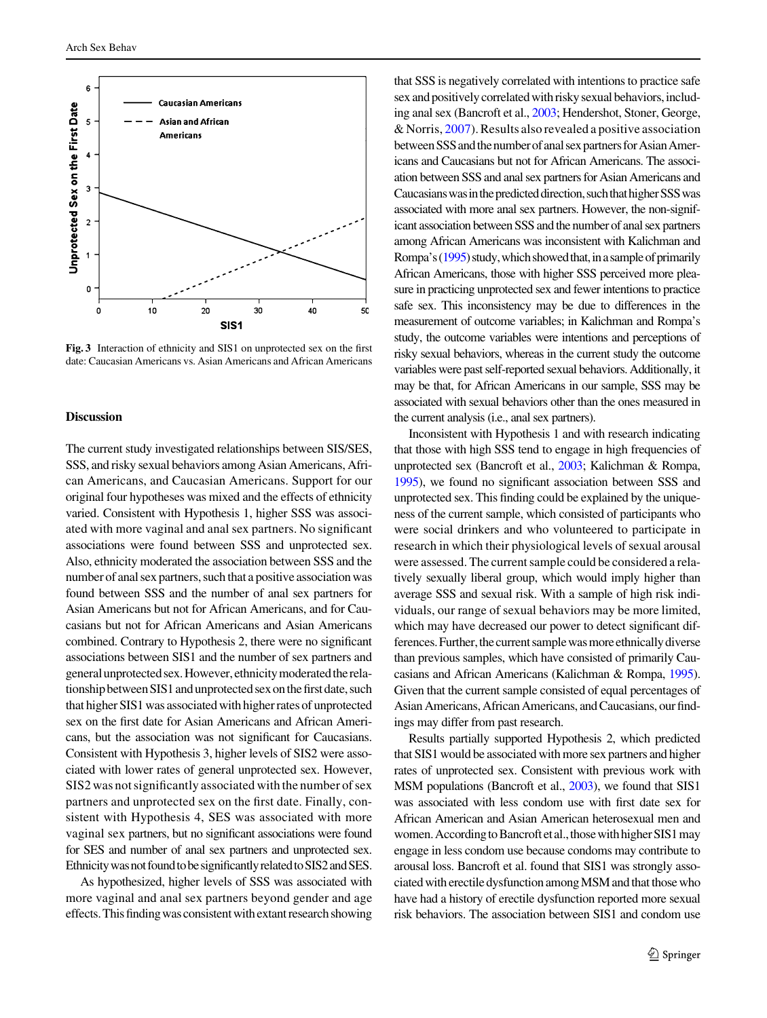<span id="page-6-0"></span>

Fig. 3 Interaction of ethnicity and SIS1 on unprotected sex on the first date: Caucasian Americans vs. Asian Americans and African Americans

#### **Discussion**

The current study investigated relationships between SIS/SES, SSS, and risky sexual behaviors among Asian Americans, African Americans, and Caucasian Americans. Support for our original four hypotheses was mixed and the effects of ethnicity varied. Consistent with Hypothesis 1, higher SSS was associated with more vaginal and anal sex partners. No significant associations were found between SSS and unprotected sex. Also, ethnicity moderated the association between SSS and the number of anal sex partners, such that a positive association was found between SSS and the number of anal sex partners for Asian Americans but not for African Americans, and for Caucasians but not for African Americans and Asian Americans combined. Contrary to Hypothesis 2, there were no significant associations between SIS1 and the number of sex partners and general unprotected sex. However, ethnicity moderated the relationship between SIS1 and unprotected sex on the first date, such that higher SIS1 was associated with higher rates of unprotected sex on the first date for Asian Americans and African Americans, but the association was not significant for Caucasians. Consistent with Hypothesis 3, higher levels of SIS2 were associated with lower rates of general unprotected sex. However, SIS2 was not significantly associated with the number of sex partners and unprotected sex on the first date. Finally, consistent with Hypothesis 4, SES was associated with more vaginal sex partners, but no significant associations were found for SES and number of anal sex partners and unprotected sex. Ethnicity was not found to be significantly related to SIS2 and SES.

As hypothesized, higher levels of SSS was associated with more vaginal and anal sex partners beyond gender and age effects. This finding was consistent with extant research showing

that SSS is negatively correlated with intentions to practice safe sex and positively correlated with risky sexual behaviors, including anal sex (Bancroft et al., [2003](#page-7-0); Hendershot, Stoner, George, & Norris, [2007\)](#page-8-0). Results also revealed a positive association between SSS and the number of anal sex partners for Asian Americans and Caucasians but not for African Americans. The association between SSS and anal sex partners for Asian Americans and Caucasians was in the predicted direction, such that higher SSS was associated with more anal sex partners. However, the non-significant association between SSS and the number of anal sex partners among African Americans was inconsistent with Kalichman and Rompa's  $(1995)$  $(1995)$  study, which showed that, in a sample of primarily African Americans, those with higher SSS perceived more pleasure in practicing unprotected sex and fewer intentions to practice safe sex. This inconsistency may be due to differences in the measurement of outcome variables; in Kalichman and Rompa's study, the outcome variables were intentions and perceptions of risky sexual behaviors, whereas in the current study the outcome variables were past self-reported sexual behaviors. Additionally, it may be that, for African Americans in our sample, SSS may be associated with sexual behaviors other than the ones measured in the current analysis (i.e., anal sex partners).

Inconsistent with Hypothesis 1 and with research indicating that those with high SSS tend to engage in high frequencies of unprotected sex (Bancroft et al., [2003;](#page-7-0) Kalichman & Rompa, [1995](#page-8-0)), we found no significant association between SSS and unprotected sex. This finding could be explained by the uniqueness of the current sample, which consisted of participants who were social drinkers and who volunteered to participate in research in which their physiological levels of sexual arousal were assessed. The current sample could be considered a relatively sexually liberal group, which would imply higher than average SSS and sexual risk. With a sample of high risk individuals, our range of sexual behaviors may be more limited, which may have decreased our power to detect significant differences. Further, the current sample was more ethnically diverse than previous samples, which have consisted of primarily Caucasians and African Americans (Kalichman & Rompa, [1995\)](#page-8-0). Given that the current sample consisted of equal percentages of Asian Americans, African Americans, and Caucasians, our findings may differ from past research.

Results partially supported Hypothesis 2, which predicted that SIS1 would be associated with more sex partners and higher rates of unprotected sex. Consistent with previous work with MSM populations (Bancroft et al., [2003\)](#page-7-0), we found that SIS1 was associated with less condom use with first date sex for African American and Asian American heterosexual men and women. According to Bancroft et al., those with higher SIS1 may engage in less condom use because condoms may contribute to arousal loss. Bancroft et al. found that SIS1 was strongly associated with erectile dysfunction among MSM and that those who have had a history of erectile dysfunction reported more sexual risk behaviors. The association between SIS1 and condom use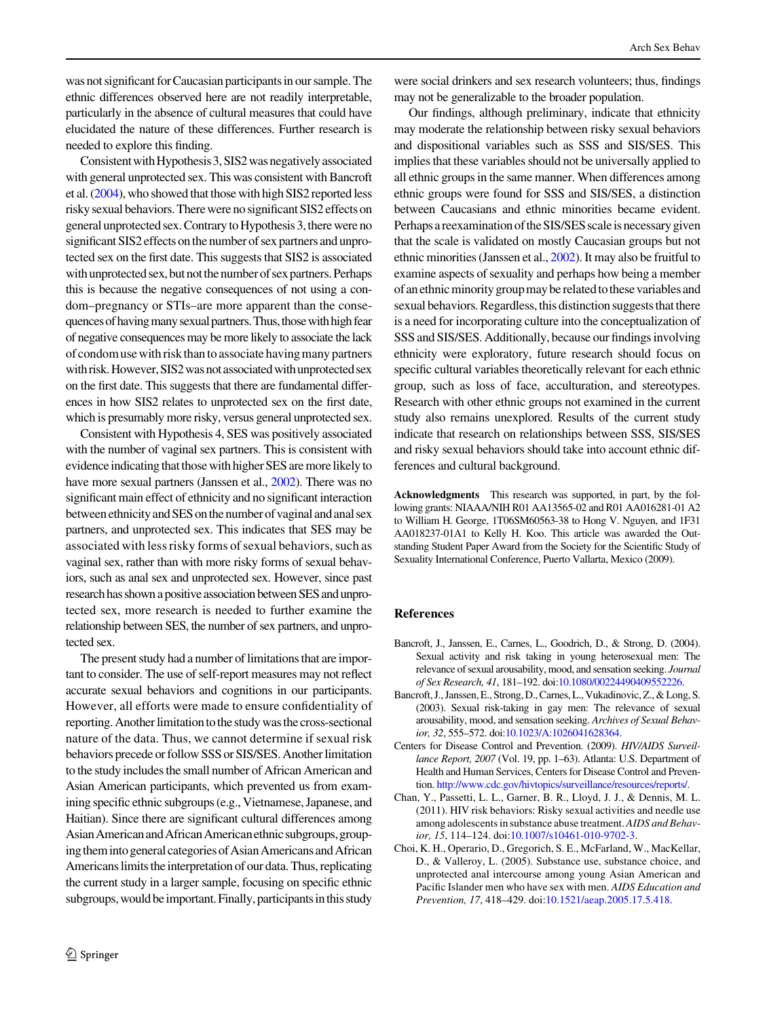<span id="page-7-0"></span>was not significant for Caucasian participants in our sample. The ethnic differences observed here are not readily interpretable, particularly in the absence of cultural measures that could have elucidated the nature of these differences. Further research is needed to explore this finding.

Consistent with Hypothesis 3, SIS2 was negatively associated with general unprotected sex. This was consistent with Bancroft et al. (2004), who showed that those with high SIS2 reported less risky sexual behaviors. There were no significant SIS2 effects on general unprotected sex. Contrary to Hypothesis 3, there were no significant SIS2 effects on the number of sex partners and unprotected sex on the first date. This suggests that SIS2 is associated with unprotected sex, but not the number of sex partners. Perhaps this is because the negative consequences of not using a condom–pregnancy or STIs–are more apparent than the consequences of having many sexual partners. Thus, those with high fear of negative consequences may be more likely to associate the lack ofcondomuse with risk than to associate havingmany partners with risk. However, SIS2 was not associated with unprotected sex on the first date. This suggests that there are fundamental differences in how SIS2 relates to unprotected sex on the first date, which is presumably more risky, versus general unprotected sex.

Consistent with Hypothesis 4, SES was positively associated with the number of vaginal sex partners. This is consistent with evidence indicating that those with higher SES are more likely to have more sexual partners (Janssen et al., [2002\)](#page-8-0). There was no significant main effect of ethnicity and no significant interaction between ethnicity and SES on the number of vaginal and anal sex partners, and unprotected sex. This indicates that SES may be associated with less risky forms of sexual behaviors, such as vaginal sex, rather than with more risky forms of sexual behaviors, such as anal sex and unprotected sex. However, since past research has shown a positive association between SES and unprotected sex, more research is needed to further examine the relationship between SES, the number of sex partners, and unprotected sex.

The present study had a number of limitations that are important to consider. The use of self-report measures may not reflect accurate sexual behaviors and cognitions in our participants. However, all efforts were made to ensure confidentiality of reporting. Another limitation to the study was the cross-sectional nature of the data. Thus, we cannot determine if sexual risk behaviors precede or follow SSS or SIS/SES. Another limitation to the study includes the small number of African American and Asian American participants, which prevented us from examining specific ethnic subgroups (e.g., Vietnamese, Japanese, and Haitian). Since there are significant cultural differences among Asian American and African American ethnic subgroups, grouping them into general categories of Asian Americans and African Americans limits the interpretation of our data. Thus, replicating the current study in a larger sample, focusing on specific ethnic subgroups, would be important. Finally, participants in this study

were social drinkers and sex research volunteers; thus, findings may not be generalizable to the broader population.

Our findings, although preliminary, indicate that ethnicity may moderate the relationship between risky sexual behaviors and dispositional variables such as SSS and SIS/SES. This implies that these variables should not be universally applied to all ethnic groups in the same manner. When differences among ethnic groups were found for SSS and SIS/SES, a distinction between Caucasians and ethnic minorities became evident. Perhaps a reexamination of the SIS/SES scale is necessary given that the scale is validated on mostly Caucasian groups but not ethnic minorities (Janssen et al., [2002\)](#page-8-0). It may also be fruitful to examine aspects of sexuality and perhaps how being a member of an ethnic minority group may be related to these variables and sexual behaviors. Regardless, this distinction suggests that there is a need for incorporating culture into the conceptualization of SSS and SIS/SES. Additionally, because our findings involving ethnicity were exploratory, future research should focus on specific cultural variables theoretically relevant for each ethnic group, such as loss of face, acculturation, and stereotypes. Research with other ethnic groups not examined in the current study also remains unexplored. Results of the current study indicate that research on relationships between SSS, SIS/SES and risky sexual behaviors should take into account ethnic differences and cultural background.

Acknowledgments This research was supported, in part, by the following grants: NIAAA/NIH R01 AA13565-02 and R01 AA016281-01 A2 to William H. George, 1T06SM60563-38 to Hong V. Nguyen, and 1F31 AA018237-01A1 to Kelly H. Koo. This article was awarded the Outstanding Student Paper Award from the Society for the Scientific Study of Sexuality International Conference, Puerto Vallarta, Mexico (2009).

## References

- Bancroft, J., Janssen, E., Carnes, L., Goodrich, D., & Strong, D. (2004). Sexual activity and risk taking in young heterosexual men: The relevance of sexual arousability, mood, and sensation seeking. Journal of Sex Research, 41, 181–192. doi:[10.1080/00224490409552226.](http://dx.doi.org/10.1080/00224490409552226)
- Bancroft, J., Janssen, E., Strong, D., Carnes, L., Vukadinovic, Z., & Long, S. (2003). Sexual risk-taking in gay men: The relevance of sexual arousability, mood, and sensation seeking. Archives of Sexual Behavior, 32, 555–572. doi:[10.1023/A:1026041628364](http://dx.doi.org/10.1023/A:1026041628364).
- Centers for Disease Control and Prevention. (2009). HIV/AIDS Surveillance Report, 2007 (Vol. 19, pp. 1–63). Atlanta: U.S. Department of Health and Human Services, Centers for Disease Control and Prevention. [http://www.cdc.gov/hivtopics/surveillance/resources/reports/.](http://www.cdc.gov/hivtopics/surveillance/resources/reports/)
- Chan, Y., Passetti, L. L., Garner, B. R., Lloyd, J. J., & Dennis, M. L. (2011). HIV risk behaviors: Risky sexual activities and needle use among adolescents in substance abuse treatment. AIDS and Behavior, 15, 114–124. doi:[10.1007/s10461-010-9702-3](http://dx.doi.org/10.1007/s10461-010-9702-3).
- Choi, K. H., Operario, D., Gregorich, S. E., McFarland, W., MacKellar, D., & Valleroy, L. (2005). Substance use, substance choice, and unprotected anal intercourse among young Asian American and Pacific Islander men who have sex with men. AIDS Education and Prevention, 17, 418–429. doi[:10.1521/aeap.2005.17.5.418](http://dx.doi.org/10.1521/aeap.2005.17.5.418).